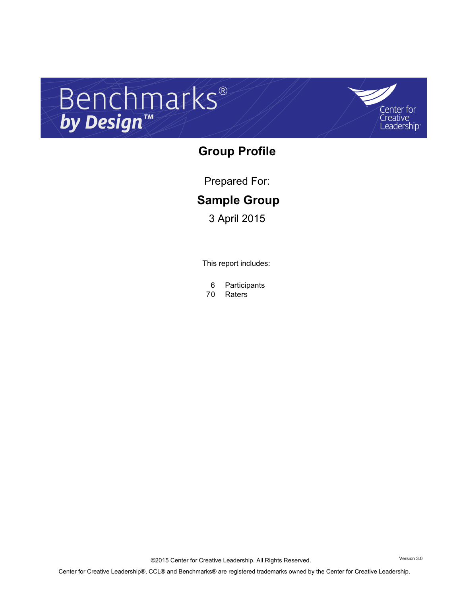# Benchmarks®



## **Group Profile**

Prepared For:

## **Sample Group**

3 April 2015

This report includes:

6 Participants

Raters

©2015 Center for Creative Leadership. All Rights Reserved. Version 3.0 Center for Creative Leadership®, CCL® and Benchmarks® are registered trademarks owned by the Center for Creative Leadership.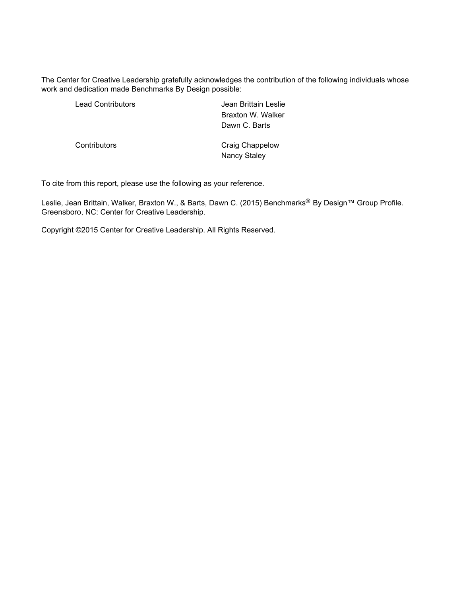The Center for Creative Leadership gratefully acknowledges the contribution of the following individuals whose work and dedication made Benchmarks By Design possible:

| <b>Lead Contributors</b> | Jean Brittain Leslie            |
|--------------------------|---------------------------------|
|                          | Braxton W. Walker               |
|                          | Dawn C. Barts                   |
| Contributors             | Craig Chappelow<br>Nancy Staley |

To cite from this report, please use the following as your reference.

Leslie, Jean Brittain, Walker, Braxton W., & Barts, Dawn C. (2015) Benchmarks® By Design™ Group Profile. Greensboro, NC: Center for Creative Leadership.

Copyright ©2015 Center for Creative Leadership. All Rights Reserved.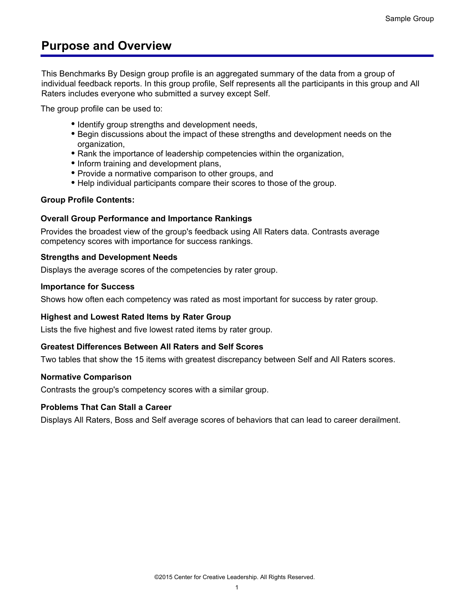## **Purpose and Overview**

This Benchmarks By Design group profile is an aggregated summary of the data from a group of individual feedback reports. In this group profile, Self represents all the participants in this group and All Raters includes everyone who submitted a survey except Self.

The group profile can be used to:

- Identify group strengths and development needs,
- Begin discussions about the impact of these strengths and development needs on the organization,
- Rank the importance of leadership competencies within the organization,
- Inform training and development plans,
- Provide a normative comparison to other groups, and
- Help individual participants compare their scores to those of the group.

#### **Group Profile Contents:**

#### **Overall Group Performance and Importance Rankings**

Provides the broadest view of the group's feedback using All Raters data. Contrasts average competency scores with importance for success rankings.

#### **Strengths and Development Needs**

Displays the average scores of the competencies by rater group.

#### **Importance for Success**

Shows how often each competency was rated as most important for success by rater group.

#### **Highest and Lowest Rated Items by Rater Group**

Lists the five highest and five lowest rated items by rater group.

#### **Greatest Differences Between All Raters and Self Scores**

Two tables that show the 15 items with greatest discrepancy between Self and All Raters scores.

#### **Normative Comparison**

Contrasts the group's competency scores with a similar group.

#### **Problems That Can Stall a Career**

Displays All Raters, Boss and Self average scores of behaviors that can lead to career derailment.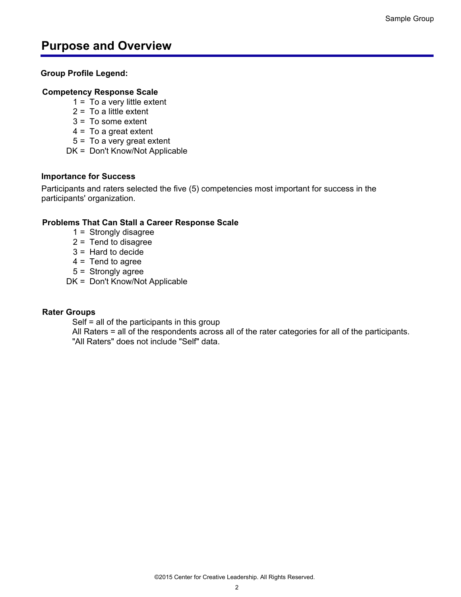## **Purpose and Overview**

#### **Group Profile Legend:**

#### **Competency Response Scale**

- $1 =$  To a very little extent
- $2 = To a little extent$
- 3 = To some extent
- $4 = To a great extent$
- 5 = To a very great extent
- DK = Don't Know/Not Applicable

#### **Importance for Success**

Participants and raters selected the five (5) competencies most important for success in the participants' organization.

#### **Problems That Can Stall a Career Response Scale**

- 1 = Strongly disagree
- 2 = Tend to disagree
- 3 = Hard to decide
- $4 =$ Tend to agree
- 5 = Strongly agree
- DK = Don't Know/Not Applicable

#### **Rater Groups**

Self = all of the participants in this group

All Raters = all of the respondents across all of the rater categories for all of the participants. "All Raters" does not include "Self" data.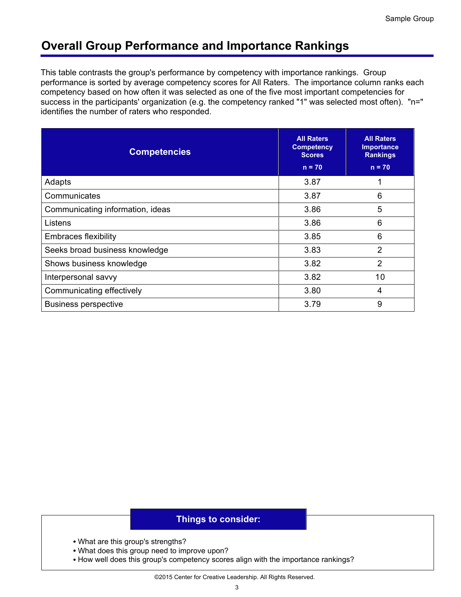## **Overall Group Performance and Importance Rankings**

This table contrasts the group's performance by competency with importance rankings. Group performance is sorted by average competency scores for All Raters. The importance column ranks each competency based on how often it was selected as one of the five most important competencies for success in the participants' organization (e.g. the competency ranked "1" was selected most often). "n=" identifies the number of raters who responded.

| <b>Competencies</b>              | <b>All Raters</b><br><b>Competency</b><br><b>Scores</b><br>$n = 70$ | <b>All Raters</b><br><b>Importance</b><br><b>Rankings</b><br>$n = 70$ |
|----------------------------------|---------------------------------------------------------------------|-----------------------------------------------------------------------|
| Adapts                           | 3.87                                                                | 1                                                                     |
| Communicates                     | 3.87                                                                | 6                                                                     |
| Communicating information, ideas | 3.86                                                                | 5                                                                     |
| Listens                          | 3.86                                                                | 6                                                                     |
| <b>Embraces flexibility</b>      | 3.85                                                                | 6                                                                     |
| Seeks broad business knowledge   | 3.83                                                                | $\overline{2}$                                                        |
| Shows business knowledge         | 3.82                                                                | $\overline{2}$                                                        |
| Interpersonal savvy              | 3.82                                                                | 10                                                                    |
| Communicating effectively        | 3.80                                                                | 4                                                                     |
| <b>Business perspective</b>      | 3.79                                                                | 9                                                                     |

- What are this group's strengths?
- What does this group need to improve upon?
- How well does this group's competency scores align with the importance rankings?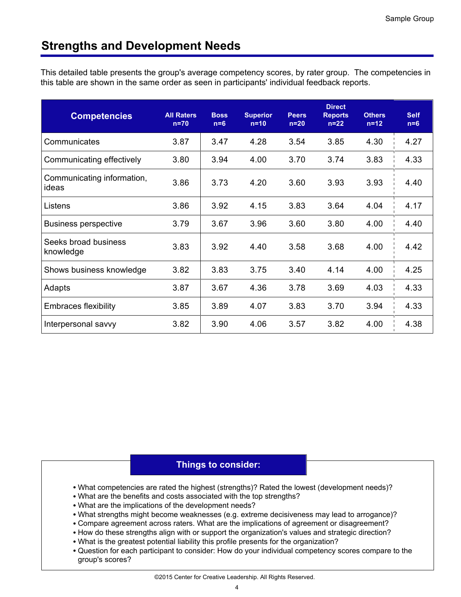## **Strengths and Development Needs**

This detailed table presents the group's average competency scores, by rater group. The competencies in this table are shown in the same order as seen in participants' individual feedback reports.

| <b>Competencies</b>                 | <b>All Raters</b><br>$n=70$ | <b>Boss</b><br>$n=6$ | <b>Superior</b><br>$n=10$ | <b>Peers</b><br>$n=20$ | <b>Direct</b><br><b>Reports</b><br>$n=22$ | <b>Others</b><br>$n=12$ | <b>Self</b><br>$n=6$ |
|-------------------------------------|-----------------------------|----------------------|---------------------------|------------------------|-------------------------------------------|-------------------------|----------------------|
| Communicates                        | 3.87                        | 3.47                 | 4.28                      | 3.54                   | 3.85                                      | 4.30                    | 4.27                 |
| Communicating effectively           | 3.80                        | 3.94                 | 4.00                      | 3.70                   | 3.74                                      | 3.83                    | 4.33                 |
| Communicating information,<br>ideas | 3.86                        | 3.73                 | 4.20                      | 3.60                   | 3.93                                      | 3.93                    | 4.40                 |
| Listens                             | 3.86                        | 3.92                 | 4.15                      | 3.83                   | 3.64                                      | 4.04                    | 4.17                 |
| Business perspective                | 3.79                        | 3.67                 | 3.96                      | 3.60                   | 3.80                                      | 4.00                    | 4.40                 |
| Seeks broad business<br>knowledge   | 3.83                        | 3.92                 | 4.40                      | 3.58                   | 3.68                                      | 4.00                    | 4.42                 |
| Shows business knowledge            | 3.82                        | 3.83                 | 3.75                      | 3.40                   | 4.14                                      | 4.00                    | 4.25                 |
| Adapts                              | 3.87                        | 3.67                 | 4.36                      | 3.78                   | 3.69                                      | 4.03                    | 4.33                 |
| <b>Embraces flexibility</b>         | 3.85                        | 3.89                 | 4.07                      | 3.83                   | 3.70                                      | 3.94                    | 4.33                 |
| Interpersonal savvy                 | 3.82                        | 3.90                 | 4.06                      | 3.57                   | 3.82                                      | 4.00                    | 4.38                 |

- What competencies are rated the highest (strengths)? Rated the lowest (development needs)?
- What are the benefits and costs associated with the top strengths?
- What are the implications of the development needs?
- What strengths might become weaknesses (e.g. extreme decisiveness may lead to arrogance)?
- Compare agreement across raters. What are the implications of agreement or disagreement?
- How do these strengths align with or support the organization's values and strategic direction?
- What is the greatest potential liability this profile presents for the organization?
- Question for each participant to consider: How do your individual competency scores compare to the group's scores?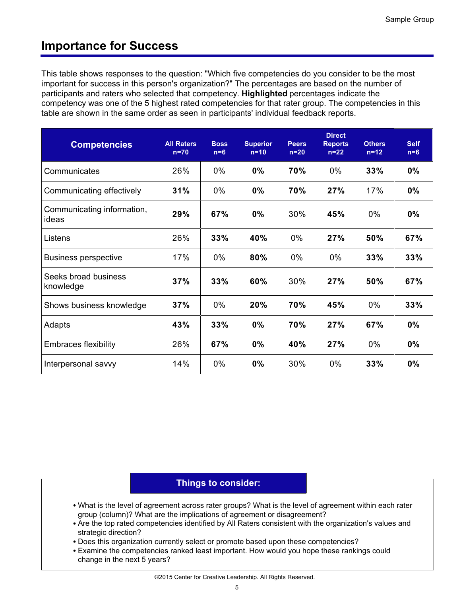## **Importance for Success**

This table shows responses to the question: "Which five competencies do you consider to be the most important for success in this person's organization?" The percentages are based on the number of participants and raters who selected that competency. **Highlighted** percentages indicate the competency was one of the 5 highest rated competencies for that rater group. The competencies in this table are shown in the same order as seen in participants' individual feedback reports.

| <b>Competencies</b>                 | <b>All Raters</b><br>$n=70$ | <b>Boss</b><br>$n=6$ | <b>Superior</b><br>$n=10$ | <b>Peers</b><br>$n=20$ | <b>Direct</b><br><b>Reports</b><br>$n=22$ | <b>Others</b><br>$n=12$ | <b>Self</b><br>$n=6$ |
|-------------------------------------|-----------------------------|----------------------|---------------------------|------------------------|-------------------------------------------|-------------------------|----------------------|
| Communicates                        | 26%                         | 0%                   | 0%                        | 70%                    | 0%                                        | 33%                     | 0%                   |
| Communicating effectively           | 31%                         | 0%                   | 0%                        | 70%                    | 27%                                       | 17%                     | 0%                   |
| Communicating information,<br>ideas | 29%                         | 67%                  | 0%                        | 30%                    | 45%                                       | $0\%$                   | $0\%$                |
| Listens                             | 26%                         | 33%                  | 40%                       | $0\%$                  | 27%                                       | 50%                     | 67%                  |
| <b>Business perspective</b>         | 17%                         | 0%                   | 80%                       | $0\%$                  | 0%                                        | 33%                     | 33%                  |
| Seeks broad business<br>knowledge   | 37%                         | 33%                  | 60%                       | 30%                    | 27%                                       | 50%                     | 67%                  |
| Shows business knowledge            | 37%                         | $0\%$                | 20%                       | 70%                    | 45%                                       | 0%                      | 33%                  |
| Adapts                              | 43%                         | 33%                  | 0%                        | 70%                    | 27%                                       | 67%                     | $0\%$                |
| <b>Embraces flexibility</b>         | 26%                         | 67%                  | 0%                        | 40%                    | 27%                                       | 0%                      | $0\%$                |
| Interpersonal savvy                 | 14%                         | 0%                   | 0%                        | 30%                    | 0%                                        | 33%                     | 0%                   |

- What is the level of agreement across rater groups? What is the level of agreement within each rater group (column)? What are the implications of agreement or disagreement?
- Are the top rated competencies identified by All Raters consistent with the organization's values and strategic direction?
- Does this organization currently select or promote based upon these competencies?
- Examine the competencies ranked least important. How would you hope these rankings could change in the next 5 years?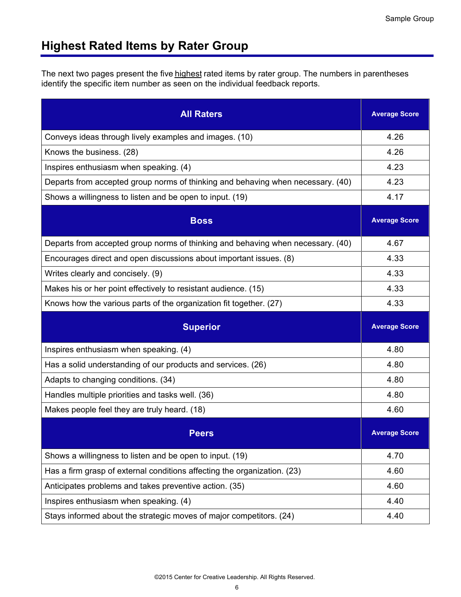## **Highest Rated Items by Rater Group**

The next two pages present the five highest rated items by rater group. The numbers in parentheses identify the specific item number as seen on the individual feedback reports.

| <b>All Raters</b>                                                               | <b>Average Score</b> |
|---------------------------------------------------------------------------------|----------------------|
| Conveys ideas through lively examples and images. (10)                          | 4.26                 |
| Knows the business. (28)                                                        | 4.26                 |
| Inspires enthusiasm when speaking. (4)                                          | 4.23                 |
| Departs from accepted group norms of thinking and behaving when necessary. (40) | 4.23                 |
| Shows a willingness to listen and be open to input. (19)                        | 4.17                 |
| <b>Boss</b>                                                                     | <b>Average Score</b> |
| Departs from accepted group norms of thinking and behaving when necessary. (40) | 4.67                 |
| Encourages direct and open discussions about important issues. (8)              | 4.33                 |
| Writes clearly and concisely. (9)                                               | 4.33                 |
| Makes his or her point effectively to resistant audience. (15)                  | 4.33                 |
| Knows how the various parts of the organization fit together. (27)              | 4.33                 |
| <b>Superior</b>                                                                 | <b>Average Score</b> |
| Inspires enthusiasm when speaking. (4)                                          | 4.80                 |
| Has a solid understanding of our products and services. (26)                    | 4.80                 |
| Adapts to changing conditions. (34)                                             | 4.80                 |
| Handles multiple priorities and tasks well. (36)                                | 4.80                 |
| Makes people feel they are truly heard. (18)                                    | 4.60                 |
| <b>Peers</b>                                                                    | <b>Average Score</b> |
| Shows a willingness to listen and be open to input. (19)                        | 4.70                 |
| Has a firm grasp of external conditions affecting the organization. (23)        | 4.60                 |
| Anticipates problems and takes preventive action. (35)                          | 4.60                 |
| Inspires enthusiasm when speaking. (4)                                          | 4.40                 |
| Stays informed about the strategic moves of major competitors. (24)             | 4.40                 |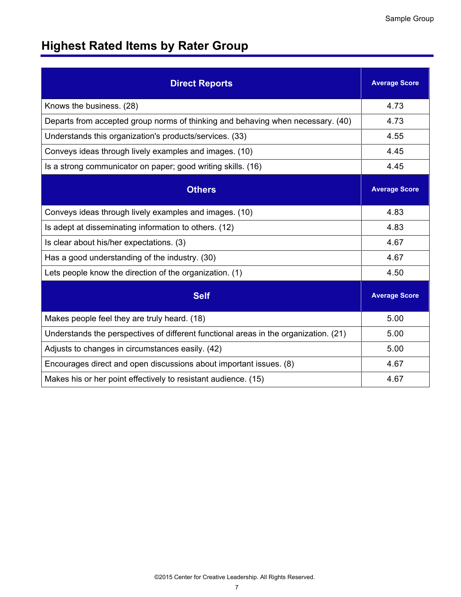# **Highest Rated Items by Rater Group**

| <b>Direct Reports</b>                                                                | <b>Average Score</b> |
|--------------------------------------------------------------------------------------|----------------------|
| Knows the business. (28)                                                             | 4.73                 |
| Departs from accepted group norms of thinking and behaving when necessary. (40)      | 4.73                 |
| Understands this organization's products/services. (33)                              | 4.55                 |
| Conveys ideas through lively examples and images. (10)                               | 4.45                 |
| Is a strong communicator on paper; good writing skills. (16)                         | 4.45                 |
| <b>Others</b>                                                                        | <b>Average Score</b> |
| Conveys ideas through lively examples and images. (10)                               | 4.83                 |
| Is adept at disseminating information to others. (12)                                | 4.83                 |
| Is clear about his/her expectations. (3)                                             | 4.67                 |
| Has a good understanding of the industry. (30)                                       | 4.67                 |
| Lets people know the direction of the organization. (1)                              | 4.50                 |
| <b>Self</b>                                                                          | <b>Average Score</b> |
| Makes people feel they are truly heard. (18)                                         | 5.00                 |
| Understands the perspectives of different functional areas in the organization. (21) | 5.00                 |
| Adjusts to changes in circumstances easily. (42)                                     | 5.00                 |
| Encourages direct and open discussions about important issues. (8)                   | 4.67                 |
| Makes his or her point effectively to resistant audience. (15)                       | 4.67                 |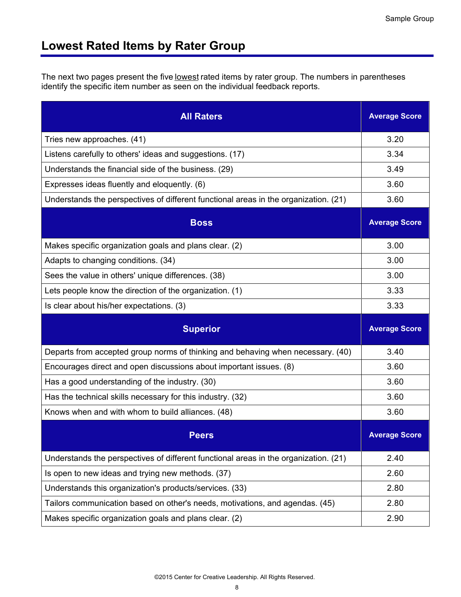## **Lowest Rated Items by Rater Group**

The next two pages present the five lowest rated items by rater group. The numbers in parentheses identify the specific item number as seen on the individual feedback reports.

| <b>All Raters</b>                                                                    | <b>Average Score</b> |
|--------------------------------------------------------------------------------------|----------------------|
| Tries new approaches. (41)                                                           | 3.20                 |
| Listens carefully to others' ideas and suggestions. (17)                             | 3.34                 |
| Understands the financial side of the business. (29)                                 | 3.49                 |
| Expresses ideas fluently and eloquently. (6)                                         | 3.60                 |
| Understands the perspectives of different functional areas in the organization. (21) | 3.60                 |
| <b>Boss</b>                                                                          | <b>Average Score</b> |
| Makes specific organization goals and plans clear. (2)                               | 3.00                 |
| Adapts to changing conditions. (34)                                                  | 3.00                 |
| Sees the value in others' unique differences. (38)                                   | 3.00                 |
| Lets people know the direction of the organization. (1)                              | 3.33                 |
| Is clear about his/her expectations. (3)                                             | 3.33                 |
|                                                                                      |                      |
| <b>Superior</b>                                                                      | <b>Average Score</b> |
| Departs from accepted group norms of thinking and behaving when necessary. (40)      | 3.40                 |
| Encourages direct and open discussions about important issues. (8)                   | 3.60                 |
| Has a good understanding of the industry. (30)                                       | 3.60                 |
| Has the technical skills necessary for this industry. (32)                           | 3.60                 |
| Knows when and with whom to build alliances. (48)                                    | 3.60                 |
| <b>Peers</b>                                                                         | <b>Average Score</b> |
| Understands the perspectives of different functional areas in the organization. (21) | 2.40                 |
| Is open to new ideas and trying new methods. (37)                                    | 2.60                 |
| Understands this organization's products/services. (33)                              | 2.80                 |
| Tailors communication based on other's needs, motivations, and agendas. (45)         | 2.80                 |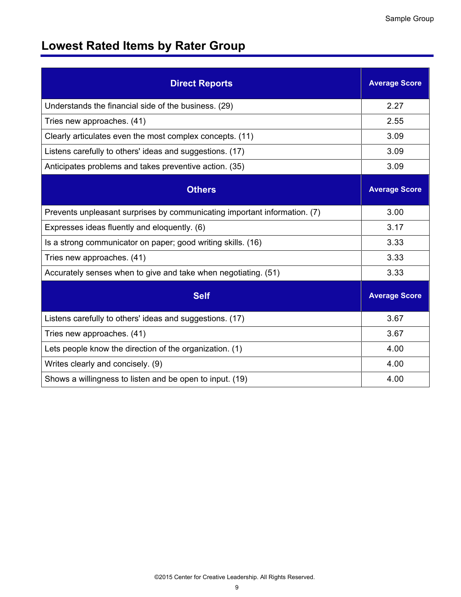# **Lowest Rated Items by Rater Group**

| <b>Direct Reports</b>                                                     | <b>Average Score</b> |
|---------------------------------------------------------------------------|----------------------|
| Understands the financial side of the business. (29)                      | 2.27                 |
| Tries new approaches. (41)                                                | 2.55                 |
| Clearly articulates even the most complex concepts. (11)                  | 3.09                 |
| Listens carefully to others' ideas and suggestions. (17)                  | 3.09                 |
| Anticipates problems and takes preventive action. (35)                    | 3.09                 |
| <b>Others</b>                                                             | <b>Average Score</b> |
| Prevents unpleasant surprises by communicating important information. (7) | 3.00                 |
| Expresses ideas fluently and eloquently. (6)                              | 3.17                 |
| Is a strong communicator on paper; good writing skills. (16)              | 3.33                 |
| Tries new approaches. (41)                                                | 3.33                 |
| Accurately senses when to give and take when negotiating. (51)            | 3.33                 |
| <b>Self</b>                                                               | <b>Average Score</b> |
| Listens carefully to others' ideas and suggestions. (17)                  | 3.67                 |
| Tries new approaches. (41)                                                | 3.67                 |
| Lets people know the direction of the organization. (1)                   | 4.00                 |
| Writes clearly and concisely. (9)                                         | 4.00                 |
| Shows a willingness to listen and be open to input. (19)                  | 4.00                 |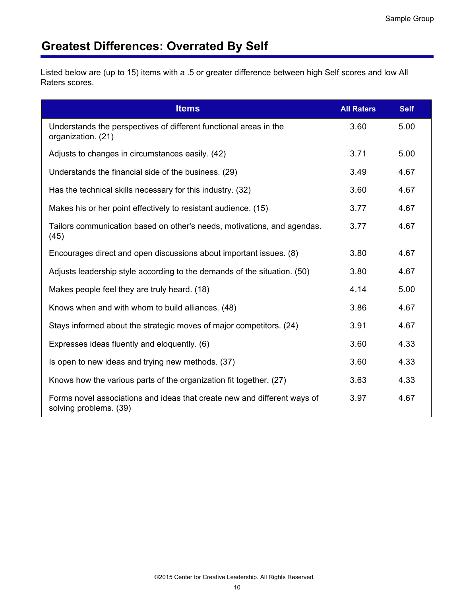# **Greatest Differences: Overrated By Self**

Listed below are (up to 15) items with a .5 or greater difference between high Self scores and low All Raters scores.

| <b>Items</b>                                                                                       | <b>All Raters</b> | <b>Self</b> |
|----------------------------------------------------------------------------------------------------|-------------------|-------------|
| Understands the perspectives of different functional areas in the<br>organization. (21)            | 3.60              | 5.00        |
| Adjusts to changes in circumstances easily. (42)                                                   | 3.71              | 5.00        |
| Understands the financial side of the business. (29)                                               | 3.49              | 4.67        |
| Has the technical skills necessary for this industry. (32)                                         | 3.60              | 4.67        |
| Makes his or her point effectively to resistant audience. (15)                                     | 3.77              | 4.67        |
| Tailors communication based on other's needs, motivations, and agendas.<br>(45)                    | 3.77              | 4.67        |
| Encourages direct and open discussions about important issues. (8)                                 | 3.80              | 4.67        |
| Adjusts leadership style according to the demands of the situation. (50)                           | 3.80              | 4.67        |
| Makes people feel they are truly heard. (18)                                                       | 4.14              | 5.00        |
| Knows when and with whom to build alliances. (48)                                                  | 3.86              | 4.67        |
| Stays informed about the strategic moves of major competitors. (24)                                | 3.91              | 4.67        |
| Expresses ideas fluently and eloquently. (6)                                                       | 3.60              | 4.33        |
| Is open to new ideas and trying new methods. (37)                                                  | 3.60              | 4.33        |
| Knows how the various parts of the organization fit together. (27)                                 | 3.63              | 4.33        |
| Forms novel associations and ideas that create new and different ways of<br>solving problems. (39) | 3.97              | 4.67        |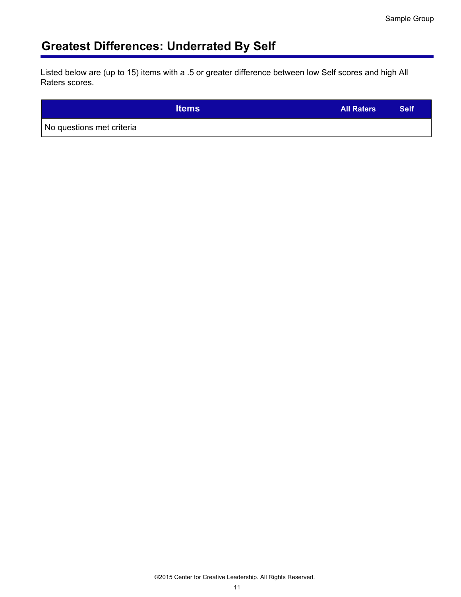# **Greatest Differences: Underrated By Self**

Listed below are (up to 15) items with a .5 or greater difference between low Self scores and high All Raters scores.

|                           | <b>Items</b> | <b>All Raters</b> | <b>Self</b> |
|---------------------------|--------------|-------------------|-------------|
| No questions met criteria |              |                   |             |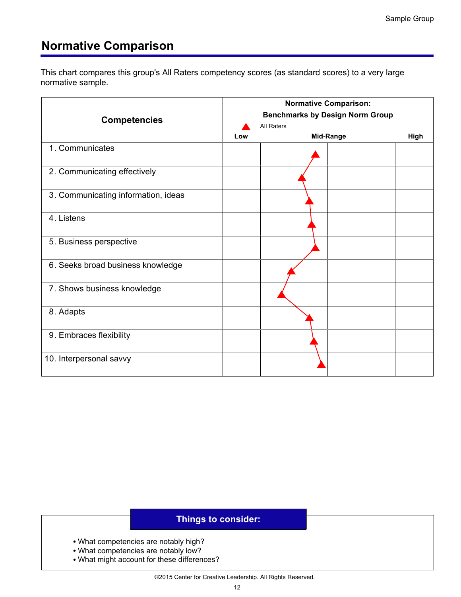## **Normative Comparison**

This chart compares this group's All Raters competency scores (as standard scores) to a very large normative sample.

|                                     | <b>Normative Comparison:</b><br><b>Benchmarks by Design Norm Group</b> |  |           |      |  |  |  |
|-------------------------------------|------------------------------------------------------------------------|--|-----------|------|--|--|--|
|                                     |                                                                        |  |           |      |  |  |  |
| <b>Competencies</b>                 | <b>All Raters</b>                                                      |  |           |      |  |  |  |
|                                     | Low                                                                    |  | Mid-Range | High |  |  |  |
| 1. Communicates                     |                                                                        |  |           |      |  |  |  |
| 2. Communicating effectively        |                                                                        |  |           |      |  |  |  |
| 3. Communicating information, ideas |                                                                        |  |           |      |  |  |  |
| 4. Listens                          |                                                                        |  |           |      |  |  |  |
| 5. Business perspective             |                                                                        |  |           |      |  |  |  |
| 6. Seeks broad business knowledge   |                                                                        |  |           |      |  |  |  |
| 7. Shows business knowledge         |                                                                        |  |           |      |  |  |  |
| 8. Adapts                           |                                                                        |  |           |      |  |  |  |
| 9. Embraces flexibility             |                                                                        |  |           |      |  |  |  |
| 10. Interpersonal savvy             |                                                                        |  |           |      |  |  |  |

- What competencies are notably high?
- What competencies are notably low?
- What might account for these differences?